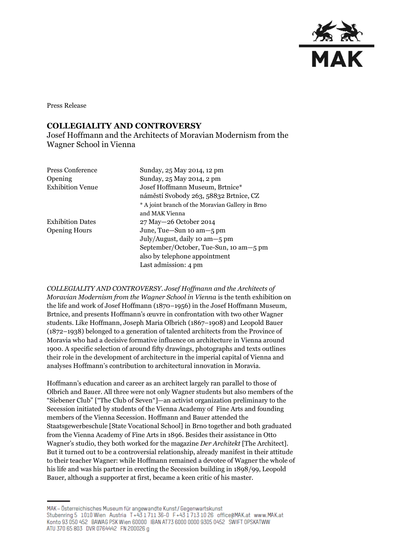

Press Release

## **COLLEGIALITY AND CONTROVERSY**

Josef Hoffmann and the Architects of Moravian Modernism from the Wagner School in Vienna

| <b>Press Conference</b> | Sunday, 25 May 2014, 12 pm                       |
|-------------------------|--------------------------------------------------|
| Opening                 | Sunday, 25 May 2014, 2 pm                        |
| <b>Exhibition Venue</b> | Josef Hoffmann Museum, Brtnice*                  |
|                         | náměstí Svobody 263, 58832 Brtnice, CZ           |
|                         | * A joint branch of the Moravian Gallery in Brno |
|                         | and MAK Vienna                                   |
| <b>Exhibition Dates</b> | 27 May - 26 October 2014                         |
| <b>Opening Hours</b>    | June, Tue-Sun 10 am-5 pm                         |
|                         | July/August, daily 10 am - 5 pm                  |
|                         | September/October, Tue-Sun, 10 am-5 pm           |
|                         | also by telephone appointment                    |
|                         | Last admission: 4 pm                             |

*COLLEGIALITY AND CONTROVERSY*. *Josef Hoffmann and the Architects of Moravian Modernism from the Wagner School in Vienna* is the tenth exhibition on the life and work of Josef Hoffmann (1870–1956) in the Josef Hoffmann Museum, Brtnice, and presents Hoffmann's œuvre in confrontation with two other Wagner students. Like Hoffmann, Joseph Maria Olbrich (1867–1908) and Leopold Bauer (1872–1938) belonged to a generation of talented architects from the Province of Moravia who had a decisive formative influence on architecture in Vienna around 1900. A specific selection of around fifty drawings, photographs and texts outlines their role in the development of architecture in the imperial capital of Vienna and analyses Hoffmann's contribution to architectural innovation in Moravia.

Hoffmann's education and career as an architect largely ran parallel to those of Olbrich and Bauer. All three were not only Wagner students but also members of the "Siebener Club" ["The Club of Seven"]—an activist organization preliminary to the Secession initiated by students of the Vienna Academy of Fine Arts and founding members of the Vienna Secession. Hoffmann and Bauer attended the Staatsgewerbeschule [State Vocational School] in Brno together and both graduated from the Vienna Academy of Fine Arts in 1896. Besides their assistance in Otto Wagner's studio, they both worked for the magazine *Der Architekt* [The Architect]. But it turned out to be a controversial relationship, already manifest in their attitude to their teacher Wagner: while Hoffmann remained a devotee of Wagner the whole of his life and was his partner in erecting the Secession building in 1898/99, Leopold Bauer, although a supporter at first, became a keen critic of his master.

MAK – Österreichisches Museum für angewandte Kunst/Gegenwartskunst Stubenring 5 1010 Wien Austria T+43 1711 36-0 F+43 1713 10 26 office@MAK.at www.MAK.at Konto 93 050 452 BAWAG PSK Wien 60000 IBAN AT73 6000 0000 9305 0452 SWIFT OPSKATWW ATU 370 65 803 DVR 0764442 FN 200026 g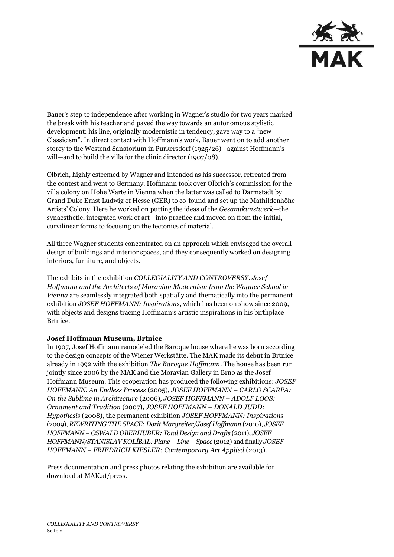

Bauer's step to independence after working in Wagner's studio for two years marked the break with his teacher and paved the way towards an autonomous stylistic development: his line, originally modernistic in tendency, gave way to a "new Classicism". In direct contact with Hoffmann's work, Bauer went on to add another storey to the Westend Sanatorium in Purkersdorf (1925/26)—against Hoffmann's will—and to build the villa for the clinic director (1907/08).

Olbrich, highly esteemed by Wagner and intended as his successor, retreated from the contest and went to Germany. Hoffmann took over Olbrich's commission for the villa colony on Hohe Warte in Vienna when the latter was called to Darmstadt by Grand Duke Ernst Ludwig of Hesse (GER) to co-found and set up the Mathildenhöhe Artists' Colony. Here he worked on putting the ideas of the *Gesamtkunstwerk*—the synaesthetic, integrated work of art—into practice and moved on from the initial, curvilinear forms to focusing on the tectonics of material.

All three Wagner students concentrated on an approach which envisaged the overall design of buildings and interior spaces, and they consequently worked on designing interiors, furniture, and objects.

The exhibits in the exhibition *COLLEGIALITY AND CONTROVERSY. Josef Hoffmann and the Architects of Moravian Modernism from the Wagner School in Vienna* are seamlessly integrated both spatially and thematically into the permanent exhibition *JOSEF HOFFMANN: Inspirations*, which has been on show since 2009, with objects and designs tracing Hoffmann's artistic inspirations in his birthplace Brtnice.

## **Josef Hoffmann Museum, Brtnice**

In 1907, Josef Hoffmann remodeled the Baroque house where he was born according to the design concepts of the Wiener Werkstätte. The MAK made its debut in Brtnice already in 1992 with the exhibition *The Baroque Hoffmann*. The house has been run jointly since 2006 by the MAK and the Moravian Gallery in Brno as the Josef Hoffmann Museum. This cooperation has produced the following exhibitions: *JOSEF HOFFMANN. An Endless Process* (2005), *JOSEF HOFFMANN – CARLO SCARPA: On the Sublime in Architecture* (2006), *JOSEF HOFFMANN – ADOLF LOOS: Ornament and Tradition* (2007), *JOSEF HOFFMANN – DONALD JUDD: Hypothesis* (2008), the permanent exhibition *JOSEF HOFFMANN: Inspirations* (2009), *REWRITING THE SPACE: Dorit Margreiter/Josef Hoffmann* (2010), *JOSEF HOFFMANN – OSWALD OBERHUBER: Total Design and Drafts* (2011), *JOSEF HOFFMANN/STANISLAV KOLÍBAL: Plane – Line – Space* (2012) and finally *JOSEF HOFFMANN – FRIEDRICH KIESLER: Contemporary Art Applied* (2013).

Press documentation and press photos relating the exhibition are available for download at MAK.at/press.